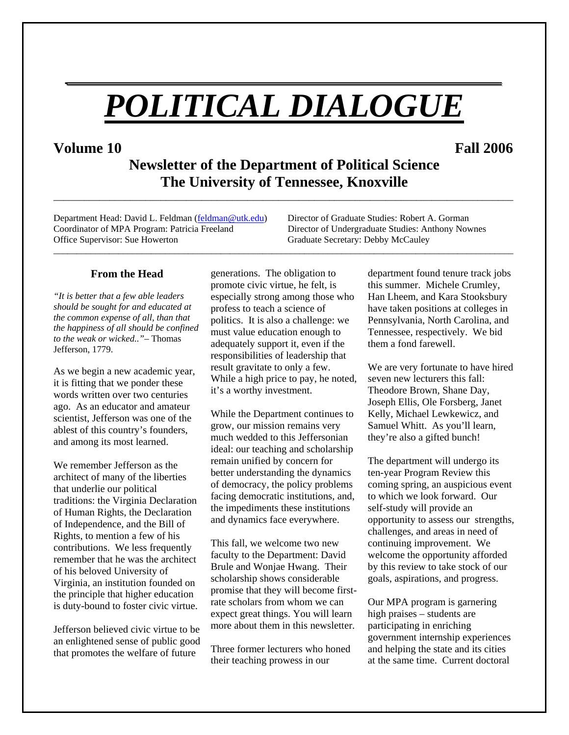# *POLITICAL DIALOGUE*

*\_\_\_\_\_\_\_\_\_\_\_\_\_\_\_\_\_\_\_\_\_\_\_\_\_\_\_\_\_\_\_\_\_\_\_\_\_\_\_*

# **Volume 10 Fall 2006**

**Newsletter of the Department of Political Science The University of Tennessee, Knoxville** 

\_\_\_\_\_\_\_\_\_\_\_\_\_\_\_\_\_\_\_\_\_\_\_\_\_\_\_\_\_\_\_\_\_\_\_\_\_\_\_\_\_\_\_\_\_\_\_\_\_\_\_\_\_\_\_\_\_\_\_\_\_\_\_\_\_\_\_\_\_\_\_\_\_\_\_\_\_\_\_\_\_\_\_\_\_\_\_\_\_\_

\_\_\_\_\_\_\_\_\_\_\_\_\_\_\_\_\_\_\_\_\_\_\_\_\_\_\_\_\_\_\_\_\_\_\_\_\_\_\_\_\_\_\_\_\_\_\_\_\_\_\_\_\_\_\_\_\_\_\_\_\_\_\_\_\_\_\_\_\_\_\_\_\_\_\_\_\_\_\_\_\_\_\_\_\_\_\_\_\_\_\_\_\_\_\_\_\_\_\_

Department Head: David L. Feldman ([feldman@utk.edu](mailto:feldman@utk.edu)) Director of Graduate Studies: Robert A. Gorman Coordinator of MPA Program: Patricia Freeland Director of Undergraduate Studies: Anthony Nownes Office Supervisor: Sue Howerton Graduate Secretary: Debby McCauley

#### **From the Head**

*"It is better that a few able leaders should be sought for and educated at the common expense of all, than that the happiness of all should be confined to the weak or wicked.."*– Thomas Jefferson, 1779.

As we begin a new academic year, it is fitting that we ponder these words written over two centuries ago. As an educator and amateur scientist, Jefferson was one of the ablest of this country's founders, and among its most learned.

We remember Jefferson as the architect of many of the liberties that underlie our political traditions: the Virginia Declaration of Human Rights, the Declaration of Independence, and the Bill of Rights, to mention a few of his contributions. We less frequently remember that he was the architect of his beloved University of Virginia, an institution founded on the principle that higher education is duty-bound to foster civic virtue.

Jefferson believed civic virtue to be an enlightened sense of public good that promotes the welfare of future

generations. The obligation to promote civic virtue, he felt, is especially strong among those who profess to teach a science of politics. It is also a challenge: we must value education enough to adequately support it, even if the responsibilities of leadership that result gravitate to only a few. While a high price to pay, he noted, it's a worthy investment.

While the Department continues to grow, our mission remains very much wedded to this Jeffersonian ideal: our teaching and scholarship remain unified by concern for better understanding the dynamics of democracy, the policy problems facing democratic institutions, and, the impediments these institutions and dynamics face everywhere.

This fall, we welcome two new faculty to the Department: David Brule and Wonjae Hwang. Their scholarship shows considerable promise that they will become firstrate scholars from whom we can expect great things. You will learn more about them in this newsletter.

Three former lecturers who honed their teaching prowess in our

department found tenure track jobs this summer. Michele Crumley, Han Lheem, and Kara Stooksbury have taken positions at colleges in Pennsylvania, North Carolina, and Tennessee, respectively. We bid them a fond farewell.

We are very fortunate to have hired seven new lecturers this fall: Theodore Brown, Shane Day, Joseph Ellis, Ole Forsberg, Janet Kelly, Michael Lewkewicz, and Samuel Whitt. As you'll learn, they're also a gifted bunch!

The department will undergo its ten-year Program Review this coming spring, an auspicious event to which we look forward. Our self-study will provide an opportunity to assess our strengths, challenges, and areas in need of continuing improvement. We welcome the opportunity afforded by this review to take stock of our goals, aspirations, and progress.

Our MPA program is garnering high praises – students are participating in enriching government internship experiences and helping the state and its cities at the same time. Current doctoral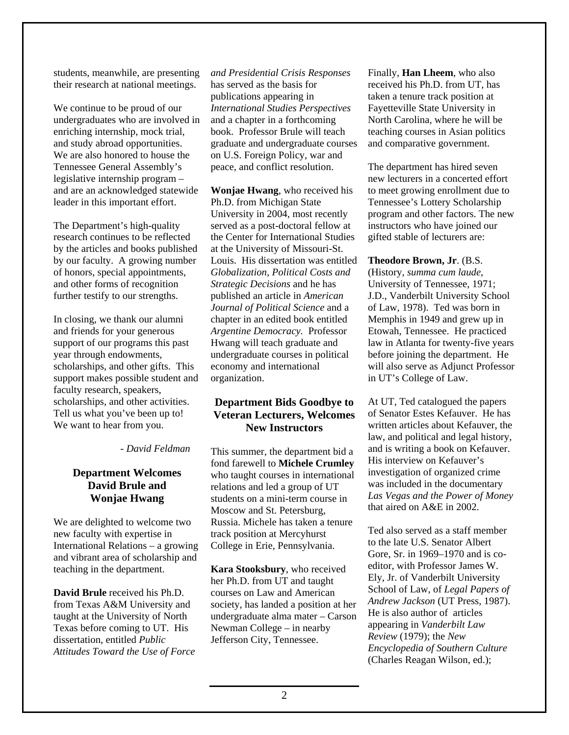students, meanwhile, are presenting their research at national meetings.

We continue to be proud of our undergraduates who are involved in enriching internship, mock trial, and study abroad opportunities. We are also honored to house the Tennessee General Assembly's legislative internship program – and are an acknowledged statewide leader in this important effort.

The Department's high-quality research continues to be reflected by the articles and books published by our faculty. A growing number of honors, special appointments, and other forms of recognition further testify to our strengths.

In closing, we thank our alumni and friends for your generous support of our programs this past year through endowments, scholarships, and other gifts. This support makes possible student and faculty research, speakers, scholarships, and other activities. Tell us what you've been up to! We want to hear from you.

#### *- David Feldman*

# **Department Welcomes David Brule and Wonjae Hwang**

We are delighted to welcome two new faculty with expertise in International Relations – a growing and vibrant area of scholarship and teaching in the department.

**David Brule** received his Ph.D. from Texas A&M University and taught at the University of North Texas before coming to UT. His dissertation, entitled *Public Attitudes Toward the Use of Force*  *and Presidential Crisis Responses*  has served as the basis for publications appearing in *International Studies Perspectives* and a chapter in a forthcoming book. Professor Brule will teach graduate and undergraduate courses on U.S. Foreign Policy, war and peace, and conflict resolution.

**Wonjae Hwang**, who received his Ph.D. from Michigan State University in 2004, most recently served as a post-doctoral fellow at the Center for International Studies at the University of Missouri-St. Louis. His dissertation was entitled *Globalization, Political Costs and Strategic Decisions* and he has published an article in *American Journal of Political Science* and a chapter in an edited book entitled *Argentine Democracy.* Professor Hwang will teach graduate and undergraduate courses in political economy and international organization.

# **Department Bids Goodbye to Veteran Lecturers, Welcomes New Instructors**

This summer, the department bid a fond farewell to **Michele Crumley** who taught courses in international relations and led a group of UT students on a mini-term course in Moscow and St. Petersburg, Russia. Michele has taken a tenure track position at Mercyhurst College in Erie, Pennsylvania.

**Kara Stooksbury**, who received her Ph.D. from UT and taught courses on Law and American society, has landed a position at her undergraduate alma mater – Carson Newman College – in nearby Jefferson City, Tennessee.

Finally, **Han Lheem**, who also received his Ph.D. from UT, has taken a tenure track position at Fayetteville State University in North Carolina, where he will be teaching courses in Asian politics and comparative government.

to to meet growing enrollment due The department has hired seven new lecturers in a concerted effort Tennessee's Lottery Scholarship program and other factors. The new instructors who have joined our gifted stable of lecturers are:

#### **Theodore Brown, Jr**. (B.S.

University of Tennessee, 1971; J.D., Vanderbilt University School of Law, 1978). Ted was born in will also serve as Adjunct Professor (History, *summa cum laude*, Memphis in 1949 and grew up in Etowah, Tennessee. He practiced law in Atlanta for twenty-five years before joining the department. He in UT's College of Law.

written articles about Kefauver, the At UT, Ted catalogued the papers of Senator Estes Kefauver. He has law, and political and legal history, and is writing a book on Kefauver. His interview on Kefauver's investigation of organized crime was included in the documentary *Las Vegas and the Power of Money* that aired on A&E in 2002.

Gore, Sr. in 1969–1970 and is co-(Charles Reagan Wilson, ed.); Ted also served as a staff member to the late U.S. Senator Albert editor, with Professor James W. Ely, Jr. of Vanderbilt University School of Law, of *Legal Papers of Andrew Jackson* (UT Press, 1987). He is also author of articles appearing in *Vanderbilt Law Review* (1979); the *New Encyclopedia of Southern Culture*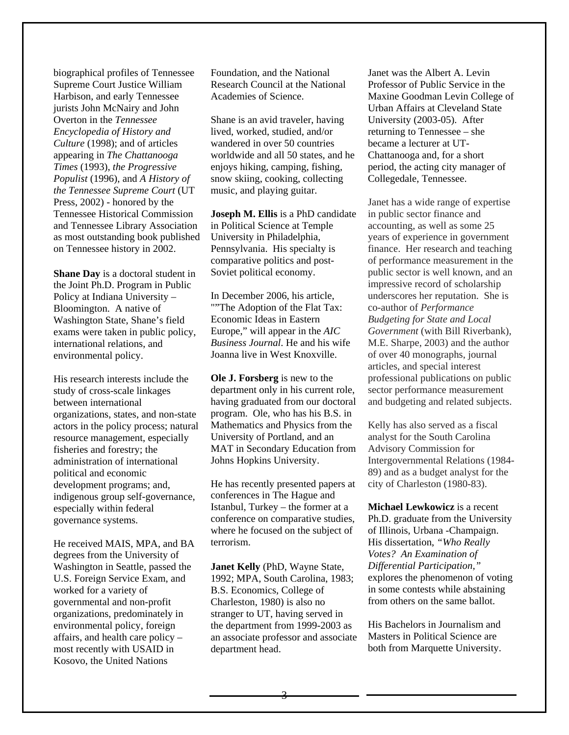biographical profiles of Tenne ssee Supreme Court Justice W illiam Harbison, and early Tennessee jurists John McNairy and John Overton in the *Tennessee Encyclopedia of History and Culture* (1998); and of articles appearing in *The Chattanooga Times* (1993), *the Progress ive Populist* (1996), and *A Histor y of the Tennessee Supreme Court* (U T Press, 2002) - honored by the Tennessee Historical Commissi on and Tennessee Library Association as most outstanding book published on Tennessee history in 2002.

**Shane Day** is a doctoral student in the Joint Ph.D. Program in Public Policy at Indiana University – Bloomington. A native of Washington State, Shane's field exams were taken in public policy, international relations, and environmental policy.

study of cross-scale linkages organizations, states, and non-state actors in the policy process; natural resource management, especially fisheries and forestry; the indigenous group self-governance, His research interests include the between international administration of international political and economic development programs; and, especially within federal governance systems.

degrees from the University of Washington in Seattle, passed the U.S. Foreign Service Exam, and affairs, and health care policy  $-$ He received MAIS, MPA, and BA worked for a variety of governmental and non-profit organizations, predominately in environmental policy, foreign most recently with USAID in Kosovo, the United Nations

Foundation, and the National Research Council at the National Academies of Science.

Shane is an avid traveler, having wandered in over 50 countries worldwide and all 50 states, and he snow skiing, cooking, collecting lived, worked, studied, and/or enjoys hiking, camping, fishing, music, and playing guitar.

**Joseph M. Ellis** is a PhD candidate Pennsylvania. His specialty is in Political Science at Temple University in Philadelphia, comparative politics and post-Soviet political economy.

""The Adoption of the Flat Tax: Europe," will appear in the *AIC* Business Journal. He and his wife In December 2006, his article, Economic Ideas in Eastern Joanna live in West Knoxville.

having graduated from our doctoral program. Ole, who has his B.S. in **Ole J. Forsberg** is new to the department only in his current role, Mathematics and Physics from the University of Portland, and an MAT in Secondary Education from Johns Hopkins University.

He has recently presented papers at Istanbul, Turkey - the former at a conference on comparative studies, conferences in The Hague and where he focused on the subject of terrorism.

B.S. Economics, College of Charleston, 1980) is also no an associate professor and associate **Janet Kelly** (PhD, Wayne State, 1992; MPA, South Carolina, 1983; stranger to UT, having served in the department from 1999-2003 as department head.

Janet was the Albert A. Levin Professor of Public Service in the Maxine Goodman Levin College of Urban Affairs at Cleveland State University (2003-05). After returning to Tennessee – she became a lecturer at UT-Chattanooga and, for a short period, the acting city manager of Collegedale, Tennessee.

Janet has a wide range of expertise accounting, as well as some 25 of performance measurement in the underscores her reputation. She is sector performance measurement in public sector finance and years of experience in government finance. Her research and teaching public sector is well known, and an impressive record of scholarship co-author of *Performance Budgeting for State and Local Government* (with Bill Riverbank), M.E. Sharpe, 2003) and the author of over 40 monographs, journal articles, and special interest professional publications on public and budgeting and related subjects.

Kelly has also served as a fiscal analyst for the South Carolina Advisory Commission for Intergovernmental Relations (1984- 89) and as a budget analyst for the city of Charleston (1980-83).

Ph.D. graduate from the University **Michael Lewkowicz** is a recent of Illinois, Urbana -Champaign. His dissertation, *"Who Really Votes? An Examination of Differential Participation,"* explores the phenomenon of voting in some contests while abstaining from others on the same ballot.

His Bachelors in Journalism and Masters in Political Science are both from Marquette University.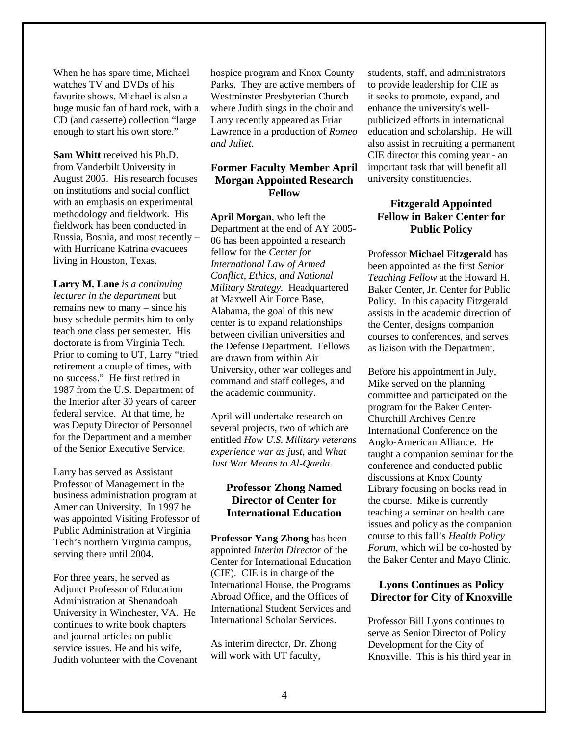When he has spare time, Michael watches TV and DVDs of his favorite shows. Michael is also a huge music fan of hard rock, with a CD (and cassette) collection "large enough to start his own store."

**Sam Whitt** received his Ph.D. from Vanderbilt University in August 2005. His research focuses on institutions and social conflict with an emphasis on experimental methodology and fieldwork. His fieldwork has been conducted in Russia, Bosnia, and most recently – with Hurricane Katrina evacuees living in Houston, Texas.

no success." He first retired in 1987 from the U.S. Department of the Interior after 30 years of career **Larry M. Lane** *is a continuing lecturer in the department* but remains new to many – since his busy schedule permits him to only teach *one* class per semester. His doctorate is from Virginia Tech. Prior to coming to UT, Larry "tried retirement a couple of times, with federal service. At that time, he was Deputy Director of Personnel for the Department and a member of the Senior Executive Service.

Larry has served as Assistant Professor of Management in the business administration program at American University. In 1997 he was appointed Visiting Professor of Public Administration at Virginia Tech's northern Virginia campus, serving there until 2004.

Judith volunteer with the Covenant For three years, he served as Adjunct Professor of Education Administration at Shenandoah University in Winchester, VA. He continues to write book chapters and journal articles on public service issues. He and his wife,

Parks. They are active members of Westminster Presbyterian Church where Judith sings in the choir and Lawrence in a production of *Romeo* hospice program and Knox County Larry recently appeared as Friar *and Juliet*.

# **Former Faculty Member April h Morgan Appointed Researc Fellow**

*d National Conflict, Ethics, an* A labama, the goal of this new center is to expand relationships between civilian universities and the Defense Department. Fellows command and staff colleges, and **April Morgan**, who left the Department at the end of AY 2005- 06 has been appointed a research fellow for the *Center for International Law of Armed Military Strategy.* Headquartered at Maxwell Air Force Base, are drawn from within Air University, other war colleges and the academic community.

several projects, two of which are *rans* entitled *How U.S. Military vete* April will undertake research on *experience war as just*, and *What Just War Means to Al-Qaeda*.

# **Professor Zhong Named Director of Center for International Education**

Abroad Office, and the Offices of International Student Services and Inte rnational Scholar Services. **Professor Yang Zhong** has been appointed *Interim Director* of the Center for International Education (CIE). CIE is in charge of the International House, the Programs

As interim director, Dr. Zhong will work with UT faculty,

important task that will benefit all students, staff, and administrators to provide leadership for CIE as it seeks to promote, expand, and enhance the university's wellpublicized efforts in international education and scholarship. He will also assist in recruiting a permanent CIE director this coming year - an university constituencies.

# **Fitzgerald Appointed Fellow in Baker Center for Public Policy**

the Center, designs companion co urses to conferences, and serves as liaison with the Department. Professor **Michael Fitzgerald** has been appointed as the first *Senior Teaching Fellow* at the Howard H. Baker Center, Jr. Center for Public Policy. In this capacity Fitzgerald assists in the academic direction of

Before his appointment in July, taught a companion seminar for the Library focusing on books read in teaching a seminar on health care *cy* course to this fall's *Health Poli* Forum, which will be co-hosted by the Baker Center and Mayo Clinic. Mike served on the planning committee and participated on the program for the Baker Center-Churchill Archives Centre International Conference on the Anglo-American Alliance. He conference and conducted public discussions at Knox County the course. Mike is currently issues and policy as the companion

# **e Director for City of Knoxvill Lyons Continues as Policy**

Professor Bill Lyons continues to serve as Senior Director of Policy Development for the City of Knoxville. This is his third year in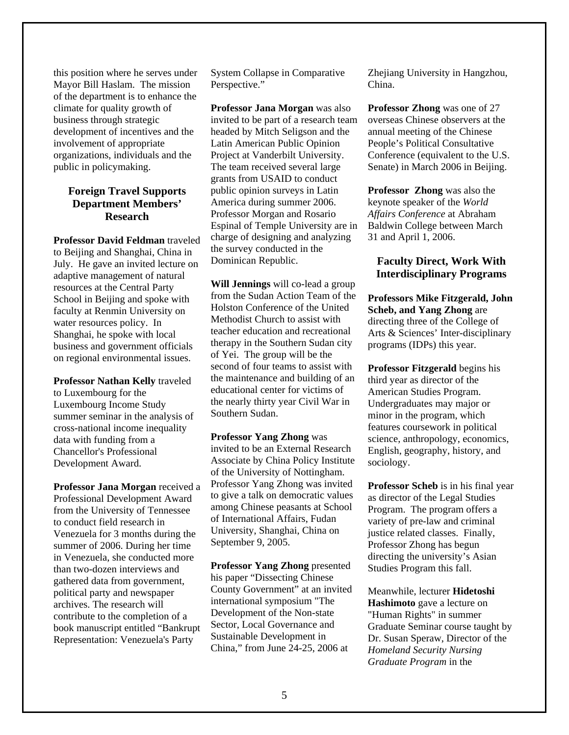this position where he serves under Mayor Bill Haslam. The mission of the department is to enhance the climate for quality growth of bu siness through strategic involvem ent of appropriate development of incentives and the organizations, individuals and the public in policymaking.

# **Foreign Travel Supports Department Members' Research**

Professor David Feldman traveled to Beijing and Shanghai, China in adaptive management of natural School in Beijing and spoke with faculty at Renmin University on wa ter resources policy. In Shan ghai, he spoke with local business and government officials on regional environm ental issues. July. He gave an invited lecture on resources at the Central Party

**Professor Nathan Kelly** traveled to Luxembourg for the Luxembourg Income Study summer seminar in the analysis of cross-national income inequality data with funding from a Chancellor's Professional Development Award.

Venezuela for 3 months during the than two-dozen interviews and gathered data from government, political party and newspaper **Professor Jana Morgan** received a Professional Development Award from the University of Tennessee to conduct field research in summer of 2006. During her time in Venezuela, she conducted more archives. The research will contribute to the completion of a book manuscript entitled "Bankrupt Representation: Venezuela's Party

System Collapse in Comparative Perspective."

Professor Jana Morgan was also invited to be part of a research team headed by Mitch Seligson and the Latin American Public Opinion America during summer 2006. Professor Morgan and Rosario Project at Vanderbilt University. The team received several large grants from USAID to conduct public opinion surveys in Latin Espinal of Temple University are in charge of designing and analyzing the survey conducted in the Dominican Republic.

**Will Jennings** will co-lead a group from the Sudan Action Team of the Holston Conference of the United teacher education and recreational second of four teams to assist with the maintenance and building of an educational center for victims of Methodist Church to assist with therapy in the Southern Sudan city of Yei. The group will be the the nearly thirty year Civil War in Southern Sudan.

. of the University of Nottingham among Chinese peasants at School University, Shanghai, China on September 9, 2005. **Professor Yang Zhong** was invited to be an External Research Associate by China Policy Institute Professor Yang Zhong was invited to give a talk on democratic values of International Affairs, Fudan

China," from June 24-25, 2006 at **Professor Yang Zhong** presented his paper "Dissecting Chinese County Government" at an invited international symposium "The Development of the Non-state Sector, Local Governance and Sustainable Development in

Zhejiang University in Hangzhou, China.

overseas Chinese observers at the Conference (equivalent to the U.S. **Professor Zhong** was one of 27 annual meeting of the Chinese People's Political Consultative Senate) in March 2006 in Beijing.

Professor Zhong was also the keynote speaker of the World *Affairs Conference* at Abraham Baldwin College between March 31 and April 1, 2006.

## **Faculty Direct, Work With Interdisciplinary Programs**

**Professors Mike Fitzgerald, John** programs (IDPs) this year. **Scheb, and Yang Zhong** are directing three of the College of Arts & Sciences' Inter-disciplinary

**P rofessor Fitzgerald** begins his th ird year as director of the American Studies Program. sociology. Undergraduates may major or minor in the program, which features coursework in political science, anthropology, economics, English, geography, history, and

Professor Scheb is in his final year as director of the Legal Studies variety of pre-law and criminal Studies Program this fall. Program. The program offers a justice related classes. Finally, Professor Zhong has begun directing the university's Asian

Graduate Seminar course taught by Dr. Susan Speraw, Director of the *Graduate Program* in the Meanwhile, lecturer **Hidetoshi Hashimoto** gave a lecture on "Human Rights" in summer *Homeland Security Nursing*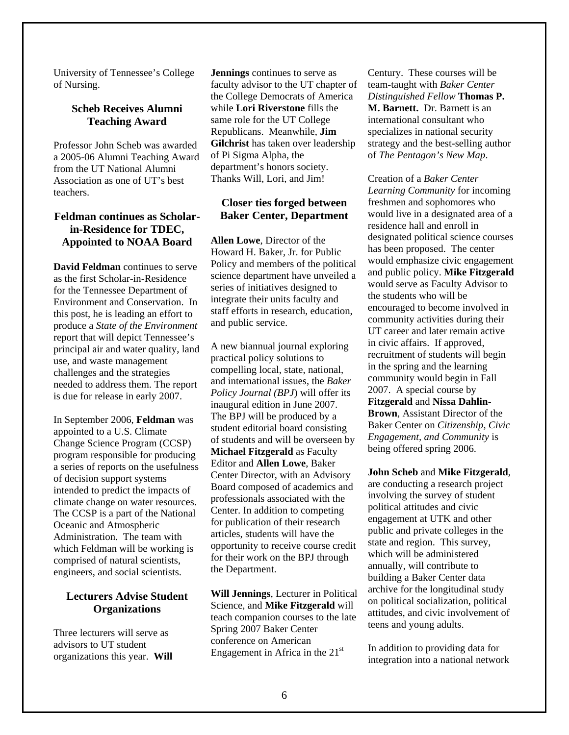University of Tennessee's Colleg e of Nursing.

# **Scheb Receives Alumni Teaching Award**

from the UT National Alumni Association as one of UT's best Professor John Scheb was awarded a 2005-06 Alumni Teaching Award teachers.

# **Feldman continues as Scholar-Appointed to NOAA Board in-Residence for TDEC,**

Environment and Conservation. In this post, he is leading an effort to principal air and water quality, land u se, and waste management hallenges and the strategies c **David Feldman** continues to serve as the first Scholar-in-Residence for the Tennessee Department of produce a *State of the Environment*  report that will depict Tennessee's needed to address them. The report is due for release in early 2007.

intended to predict the impacts of The CCSP is a part of the National Oceanic and Atmospheric which Feldman will be working is In September 2006, **Feldman** was appointed to a U.S. Climate Change Science Program (CCSP) program responsible for producing a series of reports on the usefulness of decision support systems climate change on water resources. Administration. The team with comprised of natural scientists, engineers, and social scientists.

#### **Lecturers Advise Student Organizations**

Three lecturers will serve as advisors to UT student organizations this year. **Will** 

faculty advisor to the UT chapter of the College Democrats of America while Lori Riverstone fills the sam e role for the UT College Republic ans. Meanwhile, **Jim Gilchrist** has taken over leadership department's honors society. **Jennings** continues to serve as of Pi Sigma Alpha, the Thanks Will, Lori, and Jim!

# **Closer ties forged between Baker Center, Department**

science department have unveiled a integrate their units faculty and staff efforts in research, education, an d public service. **Allen Lowe**, Director of the Howard H. Baker, Jr. for Public Policy and members of the political series of initiatives designed to

A new biannual journal exploring of students and will be overseen by **Michael Fitzgerald** as Faculty Center Director, with an Advisory Board composed of academics and opportunity to receive course credit practical policy solutions to compelling local, state, national, and international issues, the *Baker Policy Journal (BPJ*) will offer its inaugural edition in June 2007. The BPJ will be produced by a student editorial board consisting Editor and **Allen Lowe**, Baker professionals associated with the Center. In addition to competing for publication of their research articles, students will have the for their work on the BPJ through the Department.

teach companion courses to the late **Will Jennings**, Lecturer in Political Science, and **Mike Fitzgerald** will Spring 2007 Baker Center conference on American Engagement in Africa in the  $21<sup>st</sup>$ 

*Distinguished Fellow* **Thomas P. . Barnett.** Dr. Barnett is an **M** *p*. of *The Pentagon's New Ma* Century. These courses will be team-taught with *Baker Center*  international consultant who specializes in national security strategy and the best-selling author

designated political science courses and public policy. Mike Fitzgerald would serve as Faculty Advisor to community activities during their Brown, Assistant Director of the Creation of a *Baker Center Learning Community* for incoming freshmen and sophomores who would live in a designated area of a residence hall and enroll in has been proposed. The center would emphasize civic engagement the students who will be encouraged to become involved in UT career and later remain active in civic affairs. If approved, recruitment of students will begin in the spring and the learning community would begin in Fall 2007. A special course by **Fitzgerald** and **Nissa Dahlin-**Baker Center on *Citizenship, Civic Engagement, and Community* is being offered spring 2006.

are conducting a research project building a Baker Center data attitudes, and civic involvement of **John Scheb** and **Mike Fitzgerald**, involving the survey of student political attitudes and civic engagement at UTK and other public and private colleges in the state and region. This survey, which will be administered annually, will contribute to archive for the longitudinal study on political socialization, political teens and young adults.

integration into a national network In addition to providing data for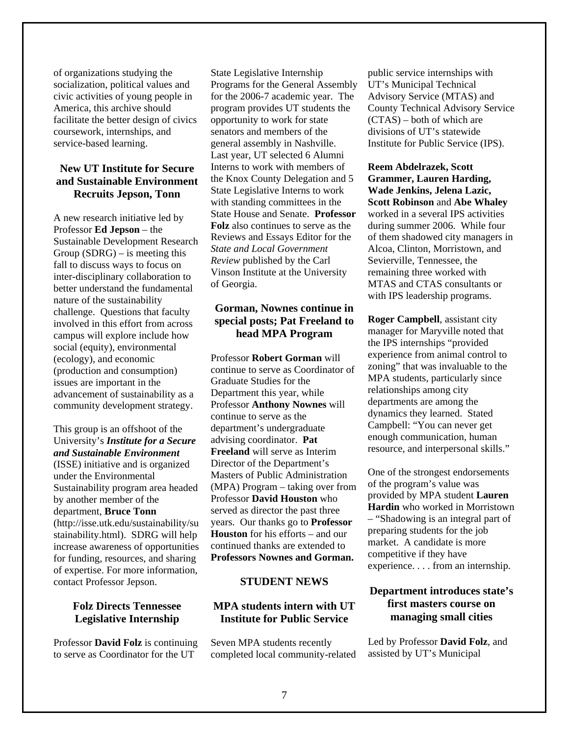of organizations studying the socialization, political value s and civic activities of young peopl e in America, this archive should facilitate the better design of civics coursework, internships, and service-based learning.

# **e New UT Institute for Secur and Sustainable Environment Recruits Jepson, Tonn**

Group  $(SDRG)$  – is meeting this fall to discuss ways to focus on b etter understand the fundamental chall enge. Questions that faculty involved in this effort from across social (equity), environmental A new research initiative led by Professor **Ed Jepson** – the Sustainable Development Research inter-disciplinary collaboration to nature of the sustainability campus will explore include how (ecology), and economic (production and consumption) issues are important in the advancement of sustainability as a community development strategy.

(ISSE) initiative and is organized Sustainability program area headed stainability.html). SDRG will help increase awareness of opportunities of expertise. For more information, This group is an offshoot of the University's *Institute for a Secure and Sustainable Environment* under the Environmental by another member of the department, **Bruce Tonn** (http://isse.utk.edu/sustainability/su for funding, resources, and sharing contact Professor Jepson.

# **Legislative Internship Folz Directs Tennessee**

Professor **David Folz** is continuing to serve as Coordinator for the UT

program provides UT students the opportunity to work for state sena tors and members of the gene ral assembly in Nashville. Last year, UT selected 6 Alumni State Legislative Interns to work Reviews and Essays Editor for the State Legislative Internship Programs for the General Assembly for the 2006-7 academic year. The Interns to work with members of the Knox County Delegation and 5 with standing committees in the State House and Senate. **Professor Folz** also continues to serve as the *State and Local Government Review* published by the Carl Vinson Institute at the University of Georgia.

# **o special posts; Pat Freeland t Gorman, Nownes continue in head MPA Program**

continue to serve as Coordinator of Professor **Anthony Nownes** will continue to serve as the d epartment's undergraduate a dvising coordinator. **Pat Freel and** will serve as Interim Director of the Department's Professor **David Houston** who served as director the past three Houston for his efforts – and our continued thanks are extended to Professors Nownes and Gorman. Professor **Robert Gorman** will Graduate Studies for the Department this year, while Masters of Public Administration (MPA) Program – taking over from years. Our thanks go to **Professor**

# **STUDENT NEWS**

# **e Institute for Public Servic MPA students intern with UT**

Seven MPA students recently completed local community-related

Advisory Service (MTAS) and County Technical Advisory Service  $(CTAS)$  – both of which are In stitute for Public Service (IPS). public service internships with UT's Municipal Technical divisions of UT's statewide

**Scott Robinson and Abe Whaley** worked in a several IPS activities Alcoa, Clinton, Morristown, and MTAS and CTAS consultants or **Reem Abdelrazek, Scott Grammer, Lauren Harding, Wade Jenkins, Jelena Lazic,**  during summer 2006. While four of them shadowed city managers in Sevierville, Tennessee, the remaining three worked with with IPS leadership programs.

**Roger Campbell**, assistant city manager for Maryville noted that the IPS internships "provided experience from animal control to zoning" that was invaluable to the MPA students, particularly since relationships among city departments are among the dynamics they learned. Stated Campbell: "You can never get enough communication, human resource, and interpersonal skills."

– "Shadowing is an integral part of One of the strongest endorsements of the program's value was provided by MPA student **Lauren Hardin** who worked in Morristown preparing students for the job market. A candidate is more competitive if they have experience. . . . from an internship.

# **on first masters course Department introduces state's managing small cities**

Led by Professor **David Folz**, and assisted by UT's Municipal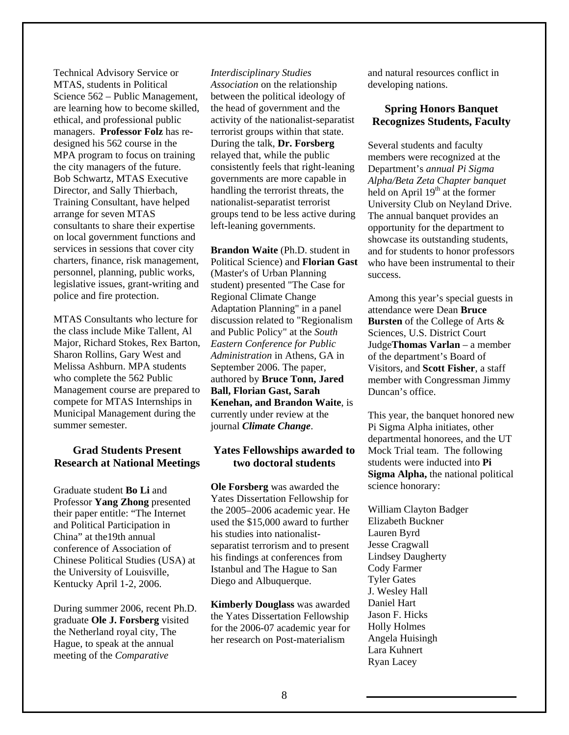Technical Advisory Service or MTAS, students in Politic al Science 562 – Public Management, are learning how to become skilled, managers. Professor Folz has redesig ned his 562 course in the MPA program to focus on training Training Consultant, have helped , charters, finance, risk management ethical, and professional public the city managers of the future. Bob Schwartz, MTAS Executive Director, and Sally Thierbach, arrange for seven MTAS consultants to share their expertise on local government functions and services in sessions that cover city personnel, planning, public works, legislative issues, grant-writing and police and fire protection.

MTAS Consultants who lecture for the class include Mike Tallent, Al Major, Richard Stokes, Rex Barton, Sharon Rollins, Gary West and Melissa Ashburn. MPA students who complete the 562 Public Management course are prepared to compete for MTAS Internships in Municipal Management during the summer semester.

#### **Grad Students Present Research at National Meetings**

Professor Yang Zhong presented conference of Association of Chinese Political Studies (USA) at the U niversity of Louisville, Graduate student **Bo Li** and their paper entitle: "The Internet and Political Participation in China" at the19th annual Kentucky April 1-2, 2006.

During summer 2006, recent Ph.D. graduate **Ole J. Forsberg** visited the Netherland royal city, The Hague, to speak at the annual meeting of the *Comparative*

between the political ideology of the the head of government and activity of the nationalist-separatist consistently feels that right-leaning governments are more capable in handling the terrorist threats, the g groups tend to be less active durin *Interdisciplinary Studies Association* on the relationship terrorist groups within that state. During the talk, **Dr. Forsberg** relayed that, while the public nationalist-separatist terrorist left-leaning governments.

Political Science) and **Florian Gast** discussion related to "Regionalism *dministration* in Athens, GA in *A* Kenehan, and Brandon Waite, is currently under review at the **Brandon Waite** (Ph.D. student in (Master's of Urban Planning student) presented "The Case for Regional Climate Change Adaptation Planning" in a panel and Public Policy" at the *South Eastern Conference for Public*  September 2006. The paper, authored by **Bruce Tonn, Jared Ball, Florian Gast, Sarah**  journal *Climate Change*.

#### Yates Fellowships awarded to **two doctoral students**

**Ole Forsberg** was awarded the the 2005-2006 academic year. He separatist terrorism and to present his findings at conferences from Dieg o and Albuquerque. Yates Dissertation Fellowship for used the \$15,000 award to further his studies into nationalist-Istanbul and The Hague to San

**Kimberly Douglass** was awarded the Yates Dissertation Fellowship for the 2006-07 academic year for her research on Post-materialism

and natural resources conflict in developing nations.

#### **Spring Honors Banquet Recognizes Students, Faculty**

*t Alpha/Beta Zeta Chapter banque* held on April 19<sup>th</sup> at the former University Club on Neyland Drive. The annual banquet provides an o pportunity for the department to showcase its outstanding students, and for students to honor professors who have been instrumental to their Several students and faculty members were recognized at the Department's *annual Pi Sigma*  success.

Among this year's special guests in member with Congressman Jimmy Duncan's office. attendance were Dean **Bruce Bursten** of the College of Arts & Sciences, U.S. District Court Judge**Thomas Varlan** – a member of the department's Board of Visitors, and **Scott Fisher**, a staff

This year, the banquet honored new departmental honorees, and the UT Sigma Alpha, the national political Pi Sigma Alpha initiates, other Mock Trial team. The following students were inducted into **Pi** science honorary:

William Clayton Badger Daniel Hart Angela Huisingh Elizabeth Buckner Lauren Byrd Jesse Cragwall Lindsey Daugherty Cody Farmer Tyler Gates J. Wesley Hall Jason F. Hicks Holly Holmes Lara Kuhnert Ryan Lacey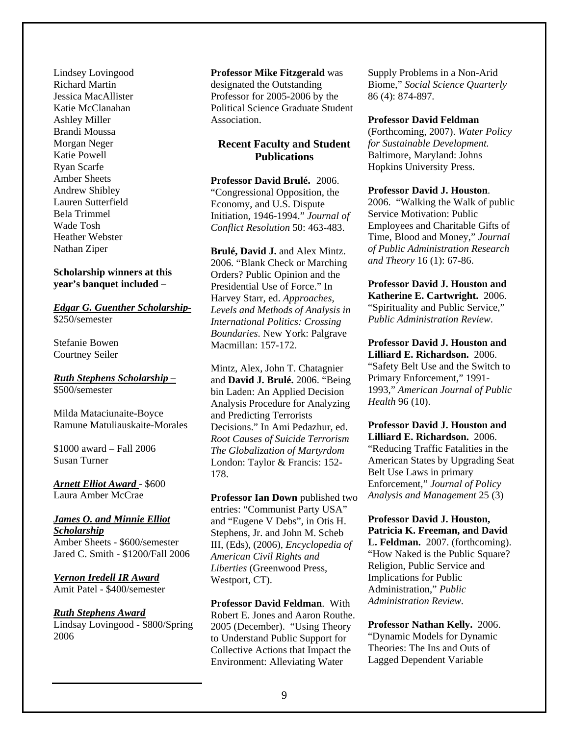Lindsey Lovingood Richard Martin Jessica MacAllister Katie McClanahan Amber Sheets Andrew Shibley Ashley Miller Brandi Moussa Morgan Neger Katie Powell Ryan Scarfe Lauren Sutterfield Bela Trimmel Wade Tosh Heather Webster Nathan Ziper

#### **Scholarship** winners at this **included – year's banquet**

#### *ther Scholarship-Edgar G. Guen* \$250/semester

Courtney Seiler Stefanie Bowen

#### *holarship – Ruth Stephens Sc* \$500/semester

Ramune Matuliauskaite-Morales Milda Mataciunaite-Boyce

\$1000 award – Fall 2006 Susan Turner

*rd Arnett Elliot Awa* - \$600 Laura Amber McCrae

*James O. and Minnie Elliot Scholarship* Amber Sheets - \$600/semester Jared C. Smith - \$1200/Fall 2006

*Vernon Iredell IR Award* Amit Patel - \$400/semester

#### *Ruth Stephens Award*

Lindsay Lovingood - \$800/S pring 2006

**Professor Mike Fitzgerald** w as designated th e Outstanding Association. Professor for 2005-2006 by the Political Science Graduate Student

#### **Recent Faculty and Student Publications**

"Congressional Opposition, the Economy, and U.S. Dispute Initiation, 1946-1994." *Journal of Conflict Resolution* 50: 463-483. **Professor David Brulé.** 2006.

Harvey Starr, ed. Approaches, *In ternational Politics: Crossing*  Boundaries. New York: Palgrave **Brulé, David J.** and Alex Mintz. 2006. "Blank Check or Marching Orders? Public Opinion and the Presidential Use of Force." In *Levels and Methods of Analysis in* Macmillan: 157-172.

London: Taylor & Francis: 152-Mintz, Alex, John T. Chatagnier and **David J. Brulé.** 2006. "Being bin Laden: An Applied Decision Analysis Procedure for Analyzing and Predicting Terrorists Decisions." In Ami Pedazhur, ed. *Root Causes of Suicide Terrorism The Globalization of Martyrdom* 178.

Professor Ian Down published two and "Eugene V Debs", in Otis H. entries: "Communist Party USA" Stephens, Jr. and John M. Scheb III, (Eds), (2006), *Encyclopedia of American Civil Rights and Liberties* (Greenwood Press, Westport, CT).

Collective Actions that Impact the Environment: Alleviating Water **Professor David Feldman**. With Robert E. Jones and Aaron Routhe. 2005 (December). "Using Theory to Understand Public Support for

Supply Problems in a Non-Arid Biome," *Social Science Quarterly* 86 (4): 874-897*.* 

#### **Professor David Feldman**

(Forthcoming, 2007). *Water Policy* Baltimore, Maryland: Johns Hopkins University Press. *for Sustainable Development.*

#### **Professor David J. Houston**.

*l* Time, Blood and Money," *Journa h of Public Administration Researc* 2006. "Walking the Walk of public Service Motivation: Public Employees and Charitable Gifts of *and Theory* 16 (1): 67-86.

**rofessor David J. Houston and P** Katherine E. Cartwright. 2006. "Spirituality and Public Service," *Public Administration Review*.

**n and Professor David J. Housto illiard E.** Richardson. 2006. "Safety Belt Use and the Switch to 1993," American Journal of Public Primary Enforcement," 1991- *Health* 96 (10).

Lilliard E. Richardson. 2006. "Reducing Traffic Fatalities in the American States by Upgrading Seat ) *Analysis and Management* 25 (3 **Professor David J. Houston and**  Belt Use Laws in primary Enforcement," *Journal of Policy* 

**d Patricia K. Freeman, and Davi** "How Naked is the Public Square? Implications for Public dministration," *Public*  A **Professor David J. Houston, L. Feldman.** 2007. (forthcoming). Religion, Public Service and *Administration Review.* 

Theories: The Ins and Outs of Lagged Dependent Variable **Professor Nathan Kelly.** 2006. "Dynamic Models for Dynamic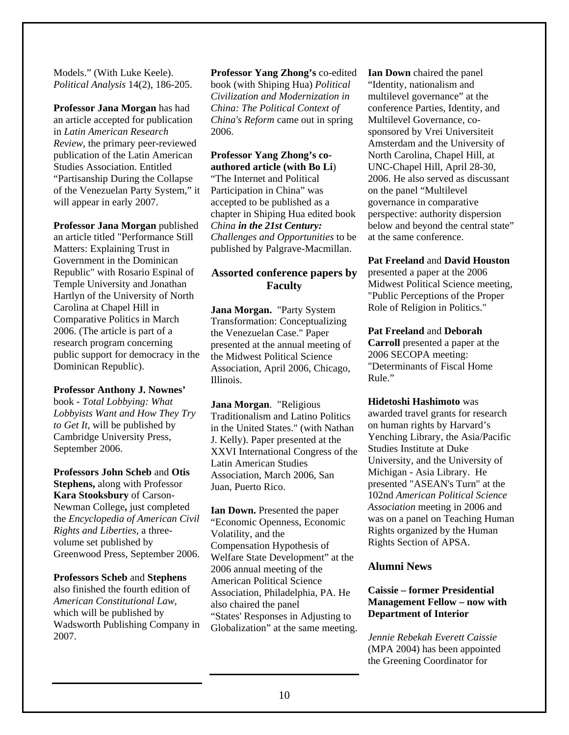Models." (With Luke Keele). *Political Analysis* 14(2), 186-205.

**Professor Jana Morgan** has ha d an article accepted for publication in *Latin American Research Review*, the primary peer-reviewed publication of the Latin Amer ican Studies Association. Entitled "Partisanship During the Collapse of the Venezuelan Party Sy stem," it will appear in early 2007.

Professor Jana Morgan published an article titled "Performance Still Temple University and Jonathan Comparative Politics in March public support for democracy in the Matters: Explaining Trust in Government in the Dominican Republic" with Rosario Espinal of Hartlyn of the University of North Carolina at Chapel Hill in 2006. (The article is part of a research program concerning Dominican Republic).

#### Professor Anthony **J.** Nownes'

book - Total Lobbying: What *Lobbyists Want and How They Try to Get It*, will be published by Cambridge University Press, September 2006.

**Kara Stooksbury** of Carson-Newman College, just completed *Civil* the *Encyclopedia of American* Greenwood Press, September 2006. **Professors John Scheb** and **Otis Stephens,** along with Professor *Rights and Liberties*, a threevolume set published by

also finished the fourth edition of Wadsworth Publishing Company in **Professors Scheb** and **Stephens** *American Constitutional Law*, which will be published by 2007.

**Professor Yang Zhong's** co-edite d book (with Shiping Hua) *Politica l Civilization and Modernizatio n in China: The Political Context of China's Reform* came out in spring 2006.

#### **Professor Yang Zhong's couthored article (with Bo Li**) **a** "The Internet and Political

chapter in Shiping Hua edited book *Challenges and Opportunities* to be published by Palgrave-Macmillan. Participation in China" was accepted to be published as a *China in the 21st Century:* 

# **Assorted conference papers by Faculty**

the Midwest Political Science Association, April 2006, Chicago, **Jana Morgan.** "Party System Transformation: Conceptualizing the Venezuelan Case." Paper presented at the annual meeting of Illinois.

Traditionalism and Latino Politics **Jana Morgan**. "Religious in the United States." (with Nathan J. Kelly). Paper presented at the XXVI International Congress of the Latin American Studies Association, March 2006, San Juan, Puerto Rico.

**an Down.** Presented the paper **I** also chaired the panel "States' Responses in Adjusting to . Globalization" at the same meeting "Economic Openness, Economic Volatility, and the Compensation Hypothesis of Welfare State Development" at the 2006 annual meeting of the American Political Science Association, Philadelphia, PA. He

**Ian Down** chaired the panel "Identity, nationalism an d multilevel governance" at the conference Parties, Identity, and Multilevel Governance, co-North Carolina, Chapel Hill, at , UNC-Chapel Hill, April 28-30 below and beyond the central state" sponsored by Vrei Universiteit Amsterdam and the University of 2006. He also served as discussant on the panel "Multilevel governance in comparative perspective: authority dispersion at the same conference.

#### **Pat Freeland** and **David Houston** presented a paper at the 2006 Midwest Political Science meeting, "Public Perceptions of the Proper Role of Religion in Politics."

**Pat Freeland** and **Deborah Carroll** presented a paper at the 2006 SECOPA meeting: "Determinants of Fiscal Home Rule."

#### on human rights by Harvard's Yenching Library, the Asia/Pacific Michigan - Asia Library. He **Hidetoshi Hashimoto** was awarded travel grants for research Studies Institute at Duke University, and the University of presented "ASEAN's Turn" at the 102nd *American Political Science Association* meeting in 2006 and was on a panel on Teaching Human Rights organized by the Human Rights Section of APSA.

# **Alumni News**

#### **th Management Fellow – now wi Department of Interior Caissie – former Presidential**

*Jennie Rebekah Everett Caissie* (MPA 2004) has been appointed the Greening Coordinator for